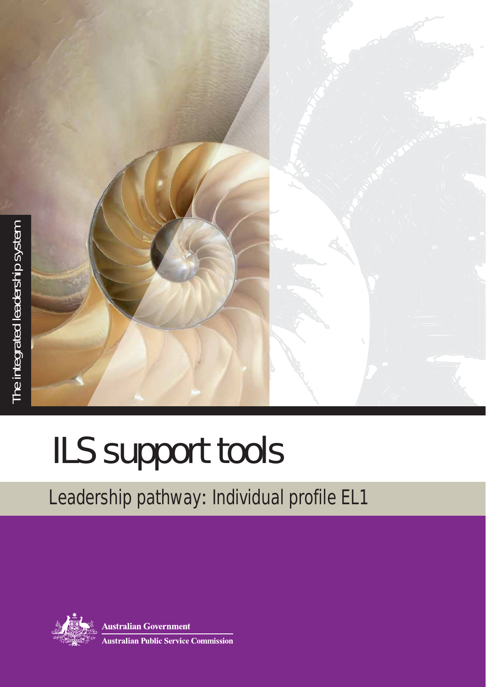

# ILS support tools

# Leadership pathway: Individual profile EL1



**Australian Government Australian Public Service Commission**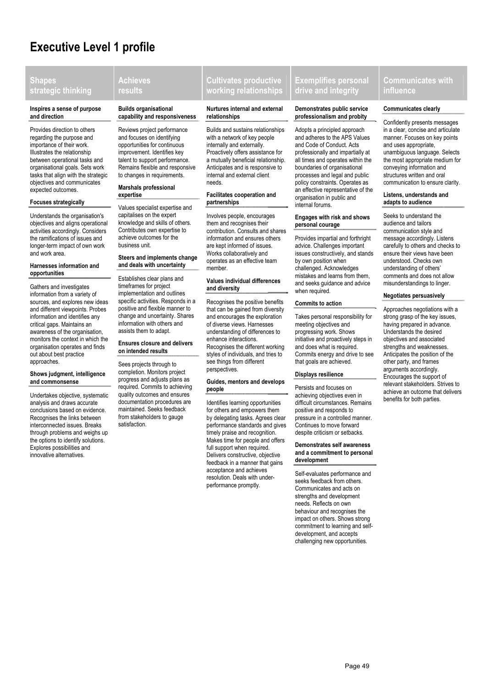# **Executive Level 1 profile**

# **Shapes strategic thinking**

#### **Inspires a sense of purpose and direction**

Provides direction to others regarding the purpose and importance of their work. Illustrates the relationship between operational tasks and organisational goals. Sets work tasks that align with the strategic objectives and communicates expected outcomes.

#### **Focuses strategically**

Understands the organisation's objectives and aligns operational activities accordingly. Considers the ramifications of issues and longer-term impact of own work and work area.

#### **Harnesses information and opportunities**

Gathers and investigates information from a variety of sources, and explores new ideas and different viewpoints. Probes information and identifies any critical gaps. Maintains an awareness of the organisation, monitors the context in which the organisation operates and finds out about best practice approaches.

# **Shows judgment, intelligence and commonsense**

Undertakes objective, systematic analysis and draws accurate conclusions based on evidence. Recognises the links between interconnected issues. Breaks through problems and weighs up the options to identify solutions. Explores possibilities and innovative alternatives.

# **Achieves results**

#### **Builds organisational capability and responsiveness**

Reviews project performance and focuses on identifying opportunities for continuous improvement. Identifies key talent to support performance. Remains flexible and responsive to changes in requirements.

#### **Marshals professional expertise**

Values specialist expertise and capitalises on the expert knowledge and skills of others. Contributes own expertise to achieve outcomes for the business unit.

# **Steers and implements change and deals with uncertainty**

Establishes clear plans and timeframes for project implementation and outlines specific activities. Responds in a positive and flexible manner to change and uncertainty. Shares information with others and assists them to adapt.

# **Ensures closure and delivers on intended results**

Sees projects through to completion. Monitors project progress and adjusts plans as required. Commits to achieving quality outcomes and ensures documentation procedures are maintained. Seeks feedback from stakeholders to gauge satisfaction.

# **Cultivates productive working relationships**

# **Nurtures internal and external relationships**

Builds and sustains relationships with a network of key people internally and externally. Proactively offers assistance for a mutually beneficial relationship*.* Anticipates and is responsive to internal and external client needs.

# **Facilitates cooperation and partnerships**

Involves people, encourages them and recognises their contribution. Consults and shares information and ensures others are kept informed of issues. Works collaboratively and operates as an effective team member.

# **Values individual differences and diversity**

Recognises the positive benefits that can be gained from diversity and encourages the exploration of diverse views. Harnesses understanding of differences to enhance interactions. Recognises the different working styles of individuals, and tries to see things from different perspectives.

#### **Guides, mentors and develops people**

Identifies learning opportunities for others and empowers them by delegating tasks. Agrees clear performance standards and gives timely praise and recognition. Makes time for people and offers full support when required. Delivers constructive, objective feedback in a manner that gains acceptance and achieves resolution. Deals with underperformance promptly.

# **Exemplifies personal drive and integrity**

#### **Demonstrates public service professionalism and probity**

Adopts a principled approach and adheres to the APS Values and Code of Conduct. Acts professionally and impartially at all times and operates within the boundaries of organisational processes and legal and public policy constraints. Operates as an effective representative of the organisation in public and internal forums.

# **Engages with risk and shows personal courage**

Provides impartial and forthright advice. Challenges important issues constructively, and stands by own position when challenged. Acknowledges mistakes and learns from them, and seeks guidance and advice when required.

# **Commits to action**

Takes personal responsibility for meeting objectives and progressing work. Shows initiative and proactively steps in and does what is required. Commits energy and drive to see that goals are achieved.

# **Displays resilience**

Persists and focuses on achieving objectives even in difficult circumstances. Remains positive and responds to pressure in a controlled manner. Continues to move forward despite criticism or setbacks.

#### **Demonstrates self awareness and a commitment to personal development**

Self-evaluates performance and seeks feedback from others. Communicates and acts on strengths and development needs. Reflects on own behaviour and recognises the impact on others. Shows strong commitment to learning and selfdevelopment, and accepts challenging new opportunities.

# **Communicates with influence**

# **Communicates clearly**

Confidently presents messages in a clear, concise and articulate manner. Focuses on key points and uses appropriate, unambiguous language. Selects the most appropriate medium for conveying information and structures written and oral communication to ensure clarity.

#### **Listens, understands and adapts to audience**

Seeks to understand the audience and tailors communication style and message accordingly. Listens carefully to others and checks to ensure their views have been understood. Checks own understanding of others' comments and does not allow misunderstandings to linger.

# **Negotiates persuasively**

Approaches negotiations with a strong grasp of the key issues, having prepared in advance. Understands the desired objectives and associated strengths and weaknesses. Anticipates the position of the other party, and frames arguments accordingly. Encourages the support of relevant stakeholders. Strives to achieve an outcome that delivers benefits for both parties.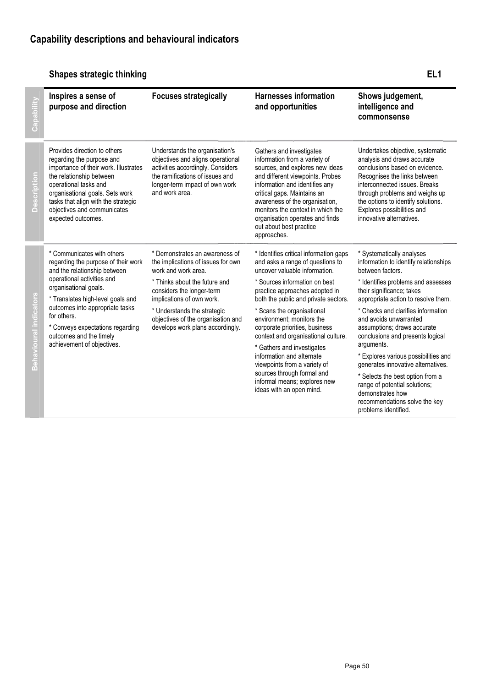# **Shapes strategic thinking EL1**

|                              | Inspires a sense of<br>purpose and direction                                                                                                                                                                                                                                                                                                 | <b>Focuses strategically</b>                                                                                                                                                                                                                                                                    | <b>Harnesses information</b><br>and opportunities                                                                                                                                                                                                                                                                                                     | Shows judgement,<br>intelligence and<br>commonsense                                                                                                                                                                                                                                                  |
|------------------------------|----------------------------------------------------------------------------------------------------------------------------------------------------------------------------------------------------------------------------------------------------------------------------------------------------------------------------------------------|-------------------------------------------------------------------------------------------------------------------------------------------------------------------------------------------------------------------------------------------------------------------------------------------------|-------------------------------------------------------------------------------------------------------------------------------------------------------------------------------------------------------------------------------------------------------------------------------------------------------------------------------------------------------|------------------------------------------------------------------------------------------------------------------------------------------------------------------------------------------------------------------------------------------------------------------------------------------------------|
| $\bar{\mathsf{e}}$<br>Descri | Provides direction to others<br>regarding the purpose and<br>importance of their work. Illustrates<br>the relationship between<br>operational tasks and<br>organisational goals. Sets work<br>tasks that align with the strategic<br>objectives and communicates<br>expected outcomes.                                                       | Understands the organisation's<br>objectives and aligns operational<br>activities accordingly. Considers<br>the ramifications of issues and<br>longer-term impact of own work<br>and work area.                                                                                                 | Gathers and investigates<br>information from a variety of<br>sources, and explores new ideas<br>and different viewpoints. Probes<br>information and identifies any<br>critical gaps. Maintains an<br>awareness of the organisation,<br>monitors the context in which the<br>organisation operates and finds<br>out about best practice<br>approaches. | Undertakes objective, systematic<br>analysis and draws accurate<br>conclusions based on evidence.<br>Recognises the links between<br>interconnected issues. Breaks<br>through problems and weighs up<br>the options to identify solutions.<br>Explores possibilities and<br>innovative alternatives. |
| Q                            | * Communicates with others<br>regarding the purpose of their work<br>and the relationship between<br>operational activities and<br>organisational goals.<br>* Translates high-level goals and<br>outcomes into appropriate tasks<br>for others.<br>* Conveys expectations regarding<br>outcomes and the timely<br>achievement of objectives. | * Demonstrates an awareness of<br>the implications of issues for own<br>work and work area.<br>* Thinks about the future and<br>considers the longer-term<br>implications of own work.<br>* Understands the strategic<br>objectives of the organisation and<br>develops work plans accordingly. | * Identifies critical information gaps<br>and asks a range of questions to<br>uncover valuable information.                                                                                                                                                                                                                                           | * Systematically analyses<br>information to identify relationships<br>between factors.                                                                                                                                                                                                               |
|                              |                                                                                                                                                                                                                                                                                                                                              |                                                                                                                                                                                                                                                                                                 | * Sources information on best<br>practice approaches adopted in<br>both the public and private sectors.                                                                                                                                                                                                                                               | * Identifies problems and assesses<br>their significance; takes<br>appropriate action to resolve them.                                                                                                                                                                                               |
|                              |                                                                                                                                                                                                                                                                                                                                              |                                                                                                                                                                                                                                                                                                 | * Scans the organisational<br>environment; monitors the<br>corporate priorities, business<br>context and organisational culture.<br>* Gathers and investigates<br>information and alternate<br>viewpoints from a variety of<br>sources through formal and<br>informal means; explores new<br>ideas with an open mind.                                 | * Checks and clarifies information<br>and avoids unwarranted<br>assumptions; draws accurate<br>conclusions and presents logical<br>arguments.                                                                                                                                                        |
|                              |                                                                                                                                                                                                                                                                                                                                              |                                                                                                                                                                                                                                                                                                 |                                                                                                                                                                                                                                                                                                                                                       | * Explores various possibilities and<br>generates innovative alternatives.                                                                                                                                                                                                                           |
|                              |                                                                                                                                                                                                                                                                                                                                              |                                                                                                                                                                                                                                                                                                 |                                                                                                                                                                                                                                                                                                                                                       | * Selects the best option from a<br>range of potential solutions;<br>demonstrates how<br>recommendations solve the key<br>problems identified.                                                                                                                                                       |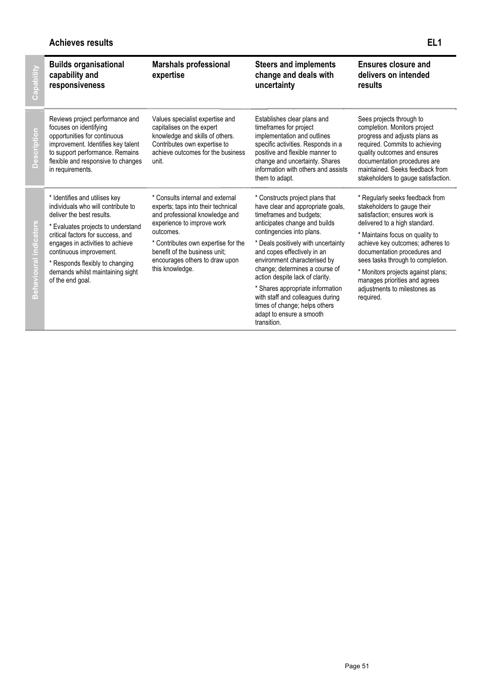# **Achieves results EL1**

| Capabi                     | <b>Builds organisational</b><br>capability and<br>responsiveness                                                                                                                                                                                                                                                                      | <b>Marshals professional</b><br>expertise                                                                                                                                                                                                                                        | <b>Steers and implements</b><br>change and deals with<br>uncertainty                                                                                                                                                                                                                                                                                                                                                                                                                         | Ensures closure and<br>delivers on intended<br>results                                                                                                                                                                                                                                                                                                                                           |
|----------------------------|---------------------------------------------------------------------------------------------------------------------------------------------------------------------------------------------------------------------------------------------------------------------------------------------------------------------------------------|----------------------------------------------------------------------------------------------------------------------------------------------------------------------------------------------------------------------------------------------------------------------------------|----------------------------------------------------------------------------------------------------------------------------------------------------------------------------------------------------------------------------------------------------------------------------------------------------------------------------------------------------------------------------------------------------------------------------------------------------------------------------------------------|--------------------------------------------------------------------------------------------------------------------------------------------------------------------------------------------------------------------------------------------------------------------------------------------------------------------------------------------------------------------------------------------------|
| $\circ$<br><b>Descript</b> | Reviews project performance and<br>focuses on identifying<br>opportunities for continuous<br>improvement. Identifies key talent<br>to support performance. Remains<br>flexible and responsive to changes<br>in requirements.                                                                                                          | Values specialist expertise and<br>capitalises on the expert<br>knowledge and skills of others.<br>Contributes own expertise to<br>achieve outcomes for the business<br>unit.                                                                                                    | Establishes clear plans and<br>timeframes for project<br>implementation and outlines<br>specific activities. Responds in a<br>positive and flexible manner to<br>change and uncertainty. Shares<br>information with others and assists<br>them to adapt.                                                                                                                                                                                                                                     | Sees projects through to<br>completion. Monitors project<br>progress and adjusts plans as<br>required. Commits to achieving<br>quality outcomes and ensures<br>documentation procedures are<br>maintained. Seeks feedback from<br>stakeholders to gauge satisfaction.                                                                                                                            |
| څ<br>m                     | * Identifies and utilises key<br>individuals who will contribute to<br>deliver the best results.<br>* Evaluates projects to understand<br>critical factors for success, and<br>engages in activities to achieve<br>continuous improvement.<br>* Responds flexibly to changing<br>demands whilst maintaining sight<br>of the end goal. | * Consults internal and external<br>experts; taps into their technical<br>and professional knowledge and<br>experience to improve work<br>outcomes.<br>* Contributes own expertise for the<br>benefit of the business unit:<br>encourages others to draw upon<br>this knowledge. | * Constructs project plans that<br>have clear and appropriate goals,<br>timeframes and budgets;<br>anticipates change and builds<br>contingencies into plans.<br>* Deals positively with uncertainty<br>and copes effectively in an<br>environment characterised by<br>change; determines a course of<br>action despite lack of clarity.<br>* Shares appropriate information<br>with staff and colleagues during<br>times of change; helps others<br>adapt to ensure a smooth<br>transition. | * Regularly seeks feedback from<br>stakeholders to gauge their<br>satisfaction: ensures work is<br>delivered to a high standard.<br>* Maintains focus on quality to<br>achieve key outcomes; adheres to<br>documentation procedures and<br>sees tasks through to completion.<br>* Monitors projects against plans;<br>manages priorities and agrees<br>adjustments to milestones as<br>required. |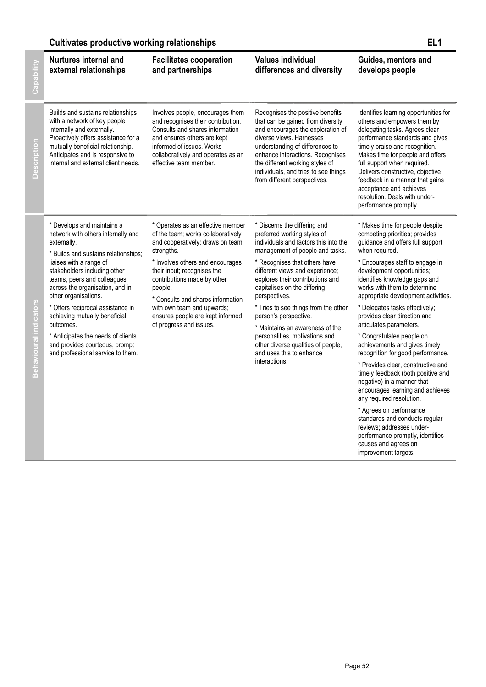# **Cultivates productive working relationships EL1**

| <b>Nurtures internal and</b><br>external relationships                                                                                                                                                                                                                                                                                                                                                                                  | <b>Facilitates cooperation</b><br>and partnerships                                                                                                                                                                                                                                                                                                                       | <b>Values individual</b><br>differences and diversity                                                                                                                                                                                                                                                                                                                                                                                                                        | Guides, mentors and<br>develops people                                                                                                                                                                                                                                                                                                                                                                                                                      |
|-----------------------------------------------------------------------------------------------------------------------------------------------------------------------------------------------------------------------------------------------------------------------------------------------------------------------------------------------------------------------------------------------------------------------------------------|--------------------------------------------------------------------------------------------------------------------------------------------------------------------------------------------------------------------------------------------------------------------------------------------------------------------------------------------------------------------------|------------------------------------------------------------------------------------------------------------------------------------------------------------------------------------------------------------------------------------------------------------------------------------------------------------------------------------------------------------------------------------------------------------------------------------------------------------------------------|-------------------------------------------------------------------------------------------------------------------------------------------------------------------------------------------------------------------------------------------------------------------------------------------------------------------------------------------------------------------------------------------------------------------------------------------------------------|
| Builds and sustains relationships<br>with a network of key people<br>internally and externally.<br>Proactively offers assistance for a<br>mutually beneficial relationship.<br>Anticipates and is responsive to<br>internal and external client needs.                                                                                                                                                                                  | Involves people, encourages them<br>and recognises their contribution.<br>Consults and shares information<br>and ensures others are kept<br>informed of issues. Works<br>collaboratively and operates as an<br>effective team member.                                                                                                                                    | Recognises the positive benefits<br>that can be gained from diversity<br>and encourages the exploration of<br>diverse views. Harnesses<br>understanding of differences to<br>enhance interactions. Recognises<br>the different working styles of<br>individuals, and tries to see things<br>from different perspectives.                                                                                                                                                     | Identifies learning opportunities for<br>others and empowers them by<br>delegating tasks. Agrees clear<br>performance standards and gives<br>timely praise and recognition.<br>Makes time for people and offers<br>full support when required.<br>Delivers constructive, objective<br>feedback in a manner that gains<br>acceptance and achieves<br>resolution. Deals with under-<br>performance promptly.                                                  |
| * Develops and maintains a<br>network with others internally and<br>externally.<br>* Builds and sustains relationships;<br>liaises with a range of<br>stakeholders including other<br>teams, peers and colleagues<br>across the organisation, and in<br>other organisations.<br>* Offers reciprocal assistance in<br>achieving mutually beneficial<br>outcomes.<br>* Anticipates the needs of clients<br>and provides courteous, prompt | * Operates as an effective member<br>of the team; works collaboratively<br>and cooperatively; draws on team<br>strengths.<br>* Involves others and encourages<br>their input; recognises the<br>contributions made by other<br>people.<br>* Consults and shares information<br>with own team and upwards;<br>ensures people are kept informed<br>of progress and issues. | * Discerns the differing and<br>preferred working styles of<br>individuals and factors this into the<br>management of people and tasks.<br>* Recognises that others have<br>different views and experience;<br>explores their contributions and<br>capitalises on the differing<br>perspectives.<br>* Tries to see things from the other<br>person's perspective.<br>* Maintains an awareness of the<br>personalities, motivations and<br>other diverse qualities of people, | * Makes time for people despite<br>competing priorities; provides<br>guidance and offers full support<br>when required.<br>* Encourages staff to engage in<br>development opportunities;<br>identifies knowledge gaps and<br>works with them to determine<br>appropriate development activities.<br>* Delegates tasks effectively;<br>provides clear direction and<br>articulates parameters.<br>* Congratulates people on<br>achievements and gives timely |
| and professional service to them.                                                                                                                                                                                                                                                                                                                                                                                                       | and uses this to enhance<br>interactions.                                                                                                                                                                                                                                                                                                                                | recognition for good performance.<br>* Provides clear, constructive and<br>timely feedback (both positive and<br>negative) in a manner that<br>encourages learning and achieves<br>any required resolution.<br>* Agrees on performance<br>standards and conducts regular<br>reviews; addresses under-<br>performance promptly, identifies<br>causes and agrees on                                                                                                            |                                                                                                                                                                                                                                                                                                                                                                                                                                                             |

improvement targets.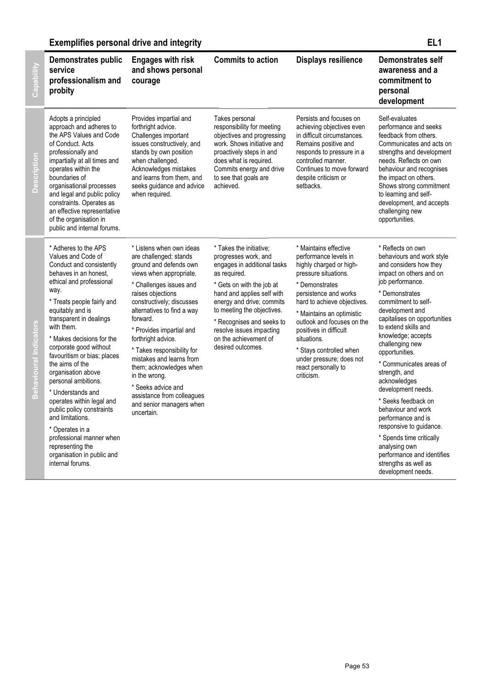# **Exemplifies personal drive and integrity EL1**

Capability

| Capability                    | <b>Demonstrates public</b><br>service<br>professionalism and<br>probity                                                                                                                                                                                                                                                                                                                                                                                                                                                                                                                                      | <b>Engages with risk</b><br>and shows personal<br>courage                                                                                                                                                                                                                                                                                                                                                                                                                            | <b>Commits to action</b>                                                                                                                                                                                                                                                                                                    | <b>Displays resilience</b>                                                                                                                                                                                                                                                                                                                                                  | <b>Demonstrates self</b><br>awareness and a<br>commitment to<br>personal<br>development                                                                                                                                                                                                                                                                                                                                                                                                                                                                                                                         |
|-------------------------------|--------------------------------------------------------------------------------------------------------------------------------------------------------------------------------------------------------------------------------------------------------------------------------------------------------------------------------------------------------------------------------------------------------------------------------------------------------------------------------------------------------------------------------------------------------------------------------------------------------------|--------------------------------------------------------------------------------------------------------------------------------------------------------------------------------------------------------------------------------------------------------------------------------------------------------------------------------------------------------------------------------------------------------------------------------------------------------------------------------------|-----------------------------------------------------------------------------------------------------------------------------------------------------------------------------------------------------------------------------------------------------------------------------------------------------------------------------|-----------------------------------------------------------------------------------------------------------------------------------------------------------------------------------------------------------------------------------------------------------------------------------------------------------------------------------------------------------------------------|-----------------------------------------------------------------------------------------------------------------------------------------------------------------------------------------------------------------------------------------------------------------------------------------------------------------------------------------------------------------------------------------------------------------------------------------------------------------------------------------------------------------------------------------------------------------------------------------------------------------|
| <b>Description</b>            | Adopts a principled<br>approach and adheres to<br>the APS Values and Code<br>of Conduct. Acts<br>professionally and<br>impartially at all times and<br>operates within the<br>boundaries of<br>organisational processes<br>and legal and public policy<br>constraints. Operates as<br>an effective representative<br>of the organisation in<br>public and internal forums.                                                                                                                                                                                                                                   | Provides impartial and<br>forthright advice.<br>Challenges important<br>issues constructively, and<br>stands by own position<br>when challenged.<br>Acknowledges mistakes<br>and learns from them, and<br>seeks guidance and advice<br>when required.                                                                                                                                                                                                                                | Takes personal<br>responsibility for meeting<br>objectives and progressing<br>work. Shows initiative and<br>proactively steps in and<br>does what is required.<br>Commits energy and drive<br>to see that goals are<br>achieved.                                                                                            | Persists and focuses on<br>achieving objectives even<br>in difficult circumstances.<br>Remains positive and<br>responds to pressure in a<br>controlled manner.<br>Continues to move forward<br>despite criticism or<br>setbacks.                                                                                                                                            | Self-evaluates<br>performance and seeks<br>feedback from others.<br>Communicates and acts on<br>strengths and development<br>needs. Reflects on own<br>behaviour and recognises<br>the impact on others.<br>Shows strong commitment<br>to learning and self-<br>development, and accepts<br>challenging new<br>opportunities.                                                                                                                                                                                                                                                                                   |
| <b>Behavioural indicators</b> | * Adheres to the APS<br>Values and Code of<br>Conduct and consistently<br>behaves in an honest,<br>ethical and professional<br>way.<br>* Treats people fairly and<br>equitably and is<br>transparent in dealings<br>with them.<br>* Makes decisions for the<br>corporate good without<br>favouritism or bias; places<br>the aims of the<br>organisation above<br>personal ambitions.<br>* Understands and<br>operates within legal and<br>public policy constraints<br>and limitations.<br>* Operates in a<br>professional manner when<br>representing the<br>organisation in public and<br>internal forums. | * Listens when own ideas<br>are challenged; stands<br>ground and defends own<br>views when appropriate.<br>* Challenges issues and<br>raises objections<br>constructively; discusses<br>alternatives to find a way<br>forward.<br>* Provides impartial and<br>forthright advice.<br>* Takes responsibility for<br>mistakes and learns from<br>them; acknowledges when<br>in the wrong.<br>* Seeks advice and<br>assistance from colleagues<br>and senior managers when<br>uncertain. | * Takes the initiative;<br>progresses work, and<br>engages in additional tasks<br>as required.<br>* Gets on with the job at<br>hand and applies self with<br>energy and drive; commits<br>to meeting the objectives.<br>* Recognises and seeks to<br>resolve issues impacting<br>on the achievement of<br>desired outcomes. | * Maintains effective<br>performance levels in<br>highly charged or high-<br>pressure situations.<br>* Demonstrates<br>persistence and works<br>hard to achieve objectives.<br>* Maintains an optimistic<br>outlook and focuses on the<br>positives in difficult<br>situations.<br>* Stays controlled when<br>under pressure; does not<br>react personally to<br>criticism. | * Reflects on own<br>behaviours and work style<br>and considers how they<br>impact on others and on<br>job performance.<br>* Demonstrates<br>commitment to self-<br>development and<br>capitalises on opportunities<br>to extend skills and<br>knowledge; accepts<br>challenging new<br>opportunities.<br>* Communicates areas of<br>strength, and<br>acknowledges<br>development needs.<br>* Seeks feedback on<br>behaviour and work<br>performance and is<br>responsive to guidance.<br>* Spends time critically<br>analysing own<br>performance and identifies<br>strengths as well as<br>development needs. |